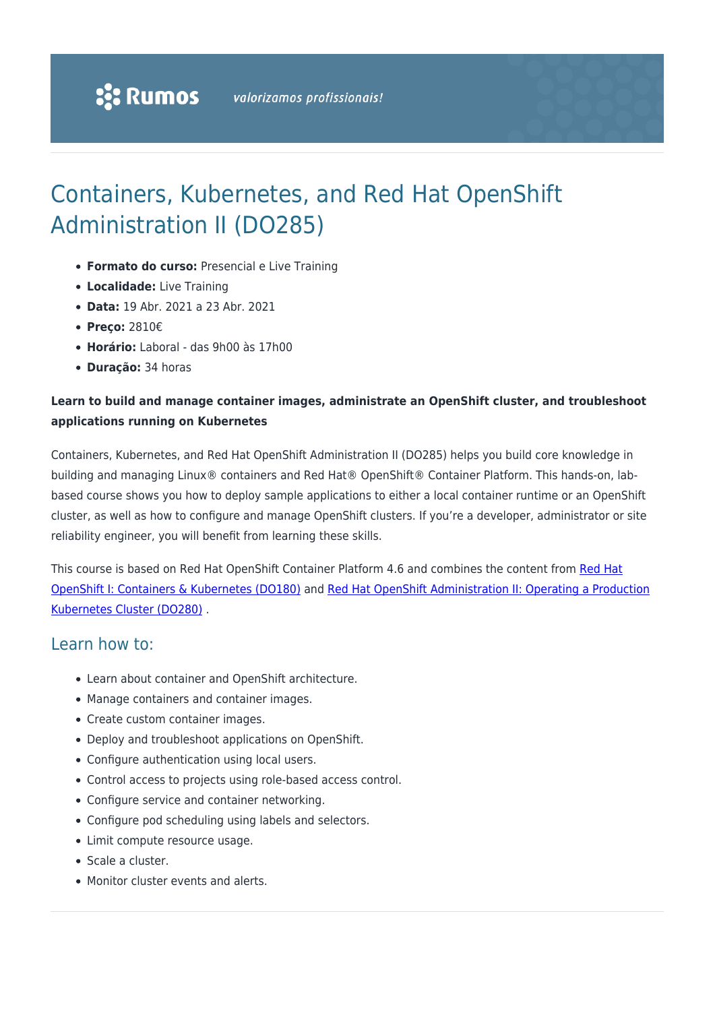# Containers, Kubernetes, and Red Hat OpenShift Administration II (DO285)

- **Formato do curso:** Presencial e Live Training
- **Localidade:** Live Training
- **Data:** 19 Abr. 2021 a 23 Abr. 2021
- **Preço:** 2810€
- **Horário:** Laboral das 9h00 às 17h00
- **Duração:** 34 horas

### **Learn to build and manage container images, administrate an OpenShift cluster, and troubleshoot applications running on Kubernetes**

Containers, Kubernetes, and Red Hat OpenShift Administration II (DO285) helps you build core knowledge in building and managing Linux® containers and Red Hat® OpenShift® Container Platform. This hands-on, labbased course shows you how to deploy sample applications to either a local container runtime or an OpenShift cluster, as well as how to configure and manage OpenShift clusters. If you're a developer, administrator or site reliability engineer, you will benefit from learning these skills.

This course is based on [Red Hat](https://rumos.pt/curso/red-hat-openshift-i-containers-kubernetes-do180-presencial-com-live-training/) OpenShift Container Platform 4.6 and combines the content from Red Hat [OpenShift I: Containers & Kubernetes \(DO180\)](https://rumos.pt/curso/red-hat-openshift-i-containers-kubernetes-do180-presencial-com-live-training/) and [Red Hat OpenShift Administration II: Operating a Production](https://rumos.pt/curso/red-hat-openshift-administration-ii-operating-a-production-kubernetes-cluster-do280-presencial-com-live-training/) [Kubernetes Cluster \(DO280\)](https://rumos.pt/curso/red-hat-openshift-administration-ii-operating-a-production-kubernetes-cluster-do280-presencial-com-live-training/) .

## Learn how to:

- Learn about container and OpenShift architecture.
- Manage containers and container images.
- Create custom container images.
- Deploy and troubleshoot applications on OpenShift.
- Configure authentication using local users.
- Control access to projects using role-based access control.
- Configure service and container networking.
- Configure pod scheduling using labels and selectors.
- Limit compute resource usage.
- Scale a cluster.
- Monitor cluster events and alerts.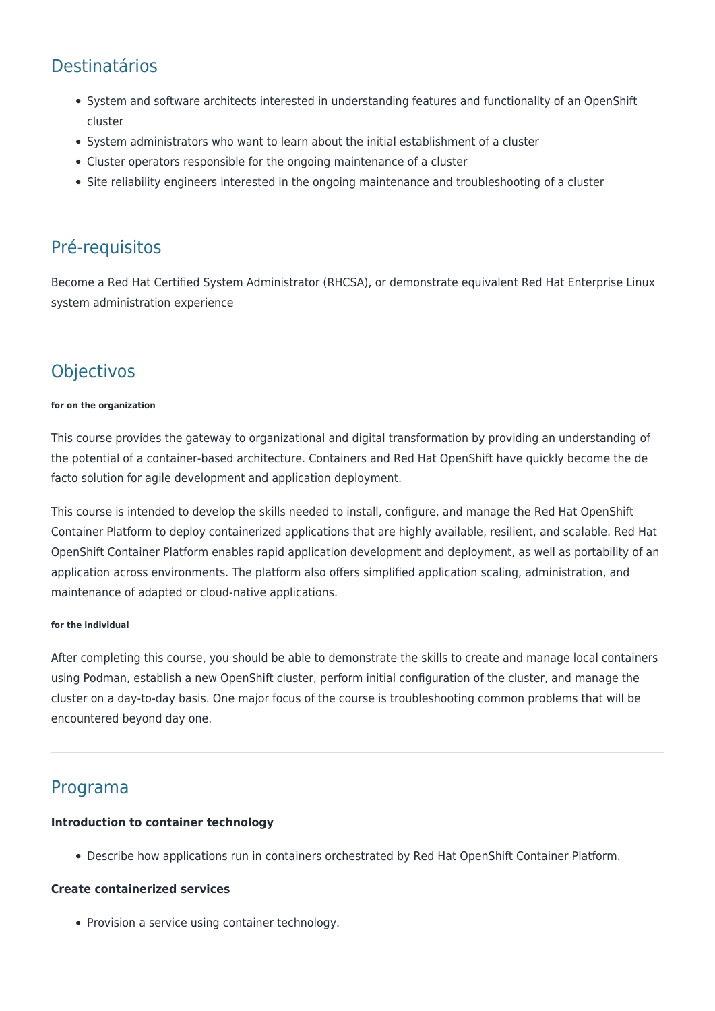## Destinatários

- System and software architects interested in understanding features and functionality of an OpenShift cluster
- System administrators who want to learn about the initial establishment of a cluster
- Cluster operators responsible for the ongoing maintenance of a cluster
- Site reliability engineers interested in the ongoing maintenance and troubleshooting of a cluster

## Pré-requisitos

Become a Red Hat Certified System Administrator (RHCSA), or demonstrate equivalent Red Hat Enterprise Linux system administration experience

## **Objectivos**

#### **for on the organization**

This course provides the gateway to organizational and digital transformation by providing an understanding of the potential of a container-based architecture. Containers and Red Hat OpenShift have quickly become the de facto solution for agile development and application deployment.

This course is intended to develop the skills needed to install, configure, and manage the Red Hat OpenShift Container Platform to deploy containerized applications that are highly available, resilient, and scalable. Red Hat OpenShift Container Platform enables rapid application development and deployment, as well as portability of an application across environments. The platform also offers simplified application scaling, administration, and maintenance of adapted or cloud-native applications.

#### **for the individual**

After completing this course, you should be able to demonstrate the skills to create and manage local containers using Podman, establish a new OpenShift cluster, perform initial configuration of the cluster, and manage the cluster on a day-to-day basis. One major focus of the course is troubleshooting common problems that will be encountered beyond day one.

## Programa

#### **Introduction to container technology**

Describe how applications run in containers orchestrated by Red Hat OpenShift Container Platform.

#### **Create containerized services**

• Provision a service using container technology.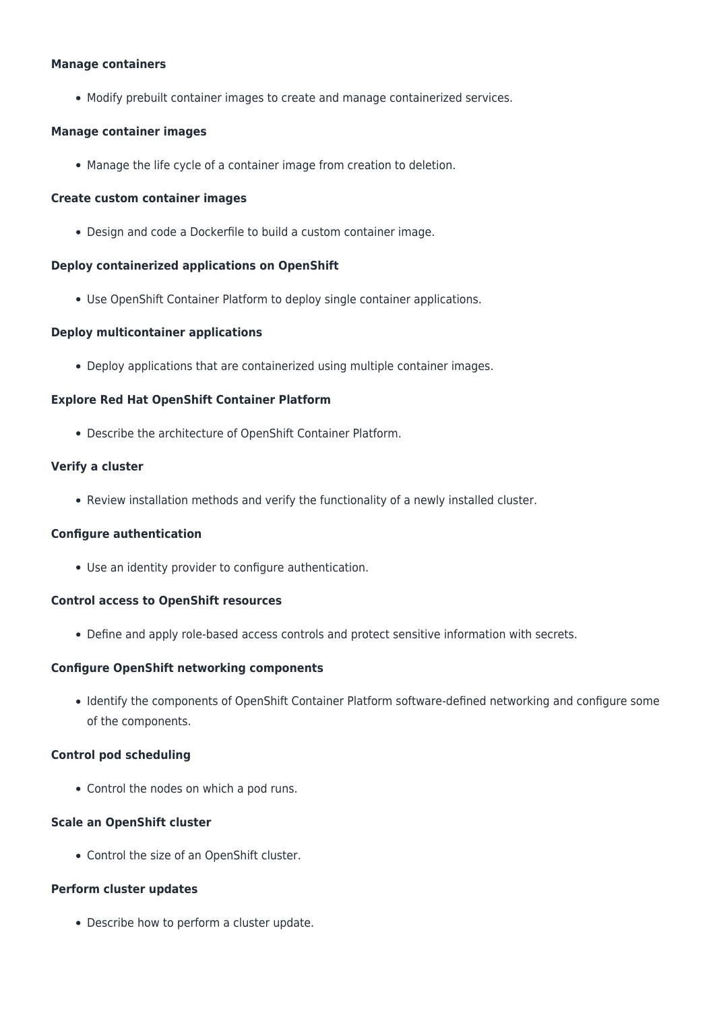#### **Manage containers**

Modify prebuilt container images to create and manage containerized services.

#### **Manage container images**

Manage the life cycle of a container image from creation to deletion.

#### **Create custom container images**

Design and code a Dockerfile to build a custom container image.

#### **Deploy containerized applications on OpenShift**

Use OpenShift Container Platform to deploy single container applications.

#### **Deploy multicontainer applications**

Deploy applications that are containerized using multiple container images.

#### **Explore Red Hat OpenShift Container Platform**

Describe the architecture of OpenShift Container Platform.

#### **Verify a cluster**

Review installation methods and verify the functionality of a newly installed cluster.

#### **Configure authentication**

Use an identity provider to configure authentication.

#### **Control access to OpenShift resources**

Define and apply role-based access controls and protect sensitive information with secrets.

#### **Configure OpenShift networking components**

Identify the components of OpenShift Container Platform software-defined networking and configure some of the components.

#### **Control pod scheduling**

• Control the nodes on which a pod runs.

#### **Scale an OpenShift cluster**

Control the size of an OpenShift cluster.

#### **Perform cluster updates**

Describe how to perform a cluster update.